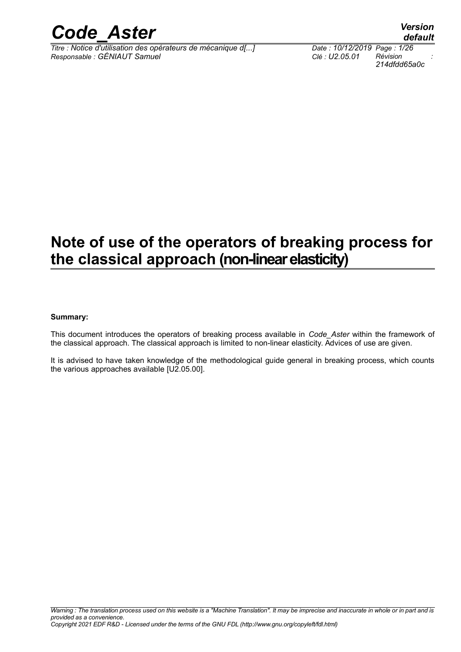

*Titre : Notice d'utilisation des opérateurs de mécanique d[...] Date : 10/12/2019 Page : 1/26 Responsable : GÉNIAUT Samuel Clé : U2.05.01 Révision :*

### **Note of use of the operators of breaking process for the classical approach (non-linear elasticity)**

#### **Summary:**

This document introduces the operators of breaking process available in *Code\_Aster* within the framework of the classical approach. The classical approach is limited to non-linear elasticity. Advices of use are given.

It is advised to have taken knowledge of the methodological guide general in breaking process, which counts the various approaches available [U2.05.00].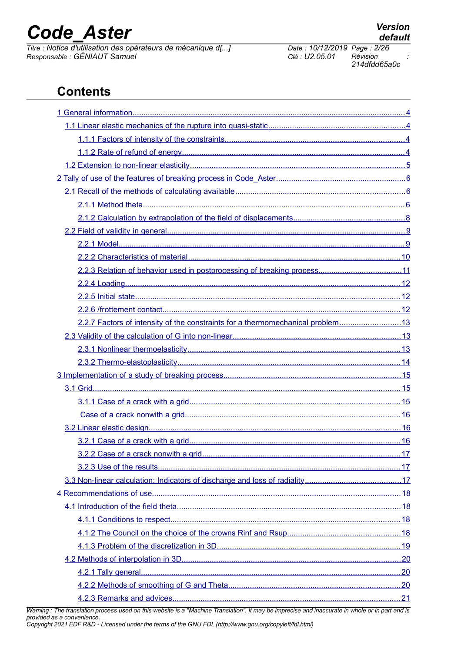# **Code Aster**

Titre : Notice d'utilisation des opérateurs de mécanique d[...] Responsable : GÉNIAUT Samuel

Date: 10/12/2019 Page: 2/26 Clé : U2.05.01 Révision 214dfdd65a0c

### **Contents**

| 2.2.7 Factors of intensity of the constraints for a thermomechanical problem |  |
|------------------------------------------------------------------------------|--|
|                                                                              |  |
|                                                                              |  |
|                                                                              |  |
|                                                                              |  |
|                                                                              |  |
|                                                                              |  |
|                                                                              |  |
|                                                                              |  |
|                                                                              |  |
|                                                                              |  |
|                                                                              |  |
|                                                                              |  |
|                                                                              |  |
|                                                                              |  |
|                                                                              |  |
|                                                                              |  |
|                                                                              |  |
|                                                                              |  |
|                                                                              |  |
|                                                                              |  |
|                                                                              |  |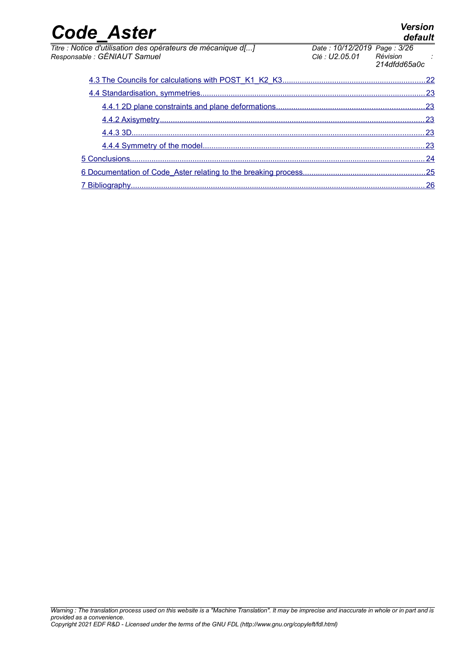*Titre : Notice d'utilisation des opérateurs de mécanique d[...] Date : 10/12/2019 Page : 3/26 Responsable : GÉNIAUT Samuel Clé : U2.05.01 Révision :*

|  | $214$ dfdd $65$ a0c |
|--|---------------------|
|  |                     |
|  |                     |
|  |                     |
|  |                     |
|  |                     |
|  |                     |
|  |                     |
|  |                     |
|  |                     |

# *default*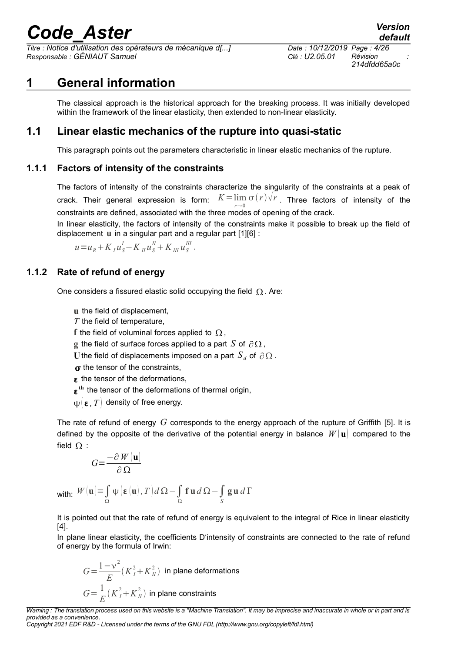*Titre : Notice d'utilisation des opérateurs de mécanique d[...] Date : 10/12/2019 Page : 4/26 Responsable : GÉNIAUT Samuel Clé : U2.05.01 Révision :*

### **1 General information**

<span id="page-3-3"></span>The classical approach is the historical approach for the breaking process. It was initially developed within the framework of the linear elasticity, then extended to non-linear elasticity.

#### **1.1 Linear elastic mechanics of the rupture into quasi-static**

<span id="page-3-2"></span><span id="page-3-1"></span>This paragraph points out the parameters characteristic in linear elastic mechanics of the rupture.

#### **1.1.1 Factors of intensity of the constraints**

The factors of intensity of the constraints characterize the singularity of the constraints at a peak of crack. Their general expression is form:  $K = \lim \sigma(r) \sqrt{r}$ . Three factors of intensity of the  $r \rightarrow 0$ constraints are defined, associated with the three modes of opening of the crack.

In linear elasticity, the factors of intensity of the constraints make it possible to break up the field of displacement **u** in a singular part and a regular part [\[1\]](#page-25-1)[\[6\]](#page-25-4) :

 $u = u_R + K_I u_S^I + K_H u_S^I + K_{III} u_S^{III}$ .

#### **1.1.2 Rate of refund of energy**

<span id="page-3-0"></span>One considers a fissured elastic solid occupying the field  $\Omega$ . Are:

**u** the field of displacement,

*T* the field of temperature,

 $f$  the field of voluminal forces applied to  $\Omega$ .

**g** the field of surface forces applied to a part *S* of  $\partial\Omega$ .

 $\mathbf U$ the field of displacements imposed on a part  ${S}_d$  of  $\partial\Omega$  .

 $\sigma$  the tensor of the constraints,

 $\epsilon$  the tensor of the deformations,

**th** the tensor of the deformations of thermal origin,

 $\psi(\varepsilon, T)$  density of free energy.

The rate of refund of energy *G* corresponds to the energy approach of the rupture of Griffith [\[5\].](#page-25-3) It is defined by the opposite of the derivative of the potential energy in balance  $W(\mathbf{u})$  compared to the field  $\Omega$  :

$$
G = \frac{-\partial W(\mathbf{u})}{\partial \Omega}
$$

with:  $W(\mathbf{u}) = \int_{\Omega} \psi\left(\mathbf{\varepsilon} \left( \mathbf{u} \right), T\right) d\Omega - \int_{\Omega} \mathbf{f} \mathbf{u} d\Omega - \int_{S}$  $g \mathbf{u} d \Gamma$ 

It is pointed out that the rate of refund of energy is equivalent to the integral of Rice in linear elasticity [\[4\].](#page-25-2)

In plane linear elasticity, the coefficients D'intensity of constraints are connected to the rate of refund of energy by the formula of Irwin:

$$
G = \frac{1 - v^2}{E} (K_I^2 + K_{II}^2)
$$
 in plane deformations  

$$
G = \frac{1}{E} (K_I^2 + K_{II}^2)
$$
 in plane constraints

*Copyright 2021 EDF R&D - Licensed under the terms of the GNU FDL (http://www.gnu.org/copyleft/fdl.html)*

*Warning : The translation process used on this website is a "Machine Translation". It may be imprecise and inaccurate in whole or in part and is provided as a convenience.*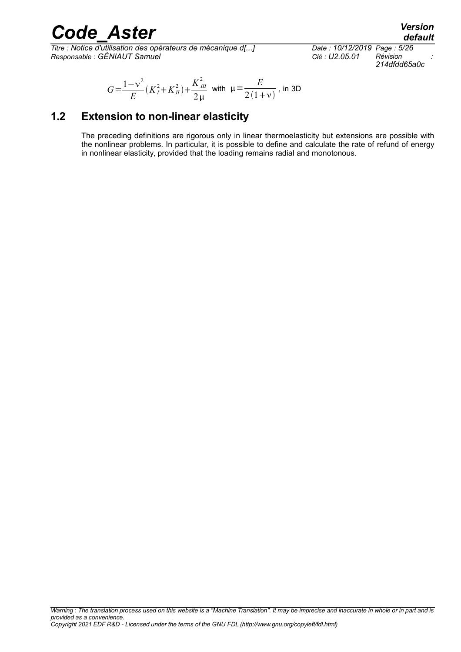*Titre : Notice d'utilisation des opérateurs de mécanique d[...] Date : 10/12/2019 Page : 5/26 Responsable : GÉNIAUT Samuel Clé : U2.05.01 Révision :*

*214dfdd65a0c*

$$
G = \frac{1 - v^{2}}{E} (K_{I}^{2} + K_{II}^{2}) + \frac{K_{III}^{2}}{2 \mu} \text{ with } \mu = \frac{E}{2(1 + v)}, \text{ in 3D}
$$

#### **1.2 Extension to non-linear elasticity**

<span id="page-4-0"></span>The preceding definitions are rigorous only in linear thermoelasticity but extensions are possible with the nonlinear problems. In particular, it is possible to define and calculate the rate of refund of energy in nonlinear elasticity, provided that the loading remains radial and monotonous.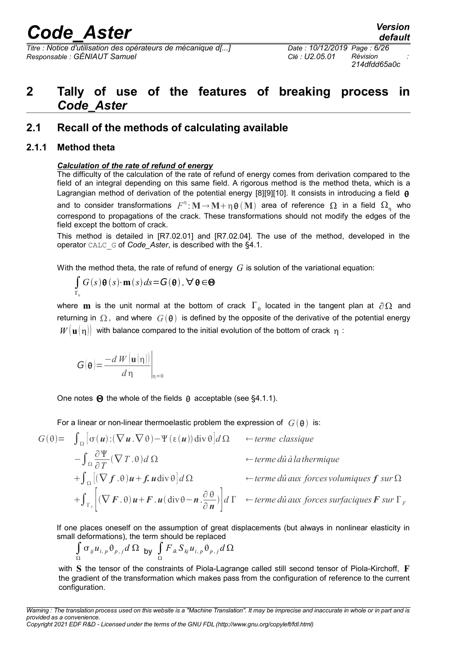*Titre : Notice d'utilisation des opérateurs de mécanique d[...] Date : 10/12/2019 Page : 6/26 Responsable : GÉNIAUT Samuel Clé : U2.05.01 Révision :*

*214dfdd65a0c*

### <span id="page-5-2"></span>**2 Tally of use of the features of breaking process in** *Code\_Aster*

#### <span id="page-5-1"></span>**2.1 Recall of the methods of calculating available**

#### **2.1.1 Method theta**

#### <span id="page-5-0"></span>*Calculation of the rate of refund of energy*

The difficulty of the calculation of the rate of refund of energy comes from derivation compared to the field of an integral depending on this same field. A rigorous method is the method theta, which is a Lagrangian method of derivation of the potential energy [\[8\]](#page-25-7)[\[9\]](#page-25-6)[\[10\].](#page-25-5) It consists in introducing a field  $\theta$ 

and to consider transformations  $F^{\text{n}}$ :  $\mathbf{M} \to \mathbf{M} + \eta \, \boldsymbol{\theta} \, (\mathbf{M})$  area of reference  $\Omega$  in a field  $\Omega_{\text{n}}$  who correspond to propagations of the crack. These transformations should not modify the edges of the field except the bottom of crack.

This method is detailed in [R7.02.01] and [R7.02.04]. The use of the method, developed in the operator CALC\_G of *Code\_Aster*, is described with the [§4.1.](#page-17-2)

With the method theta, the rate of refund of energy *G* is solution of the variational equation:

$$
\int_{\Gamma_0} G(s) \, \boldsymbol{\theta}(s) \cdot \mathbf{m}(s) \, ds = G(\boldsymbol{\theta}), \, \forall \, \boldsymbol{\theta} \in \Theta
$$

where  $\bf{m}$  is the unit normal at the bottom of crack  $\Gamma_{_0}$  located in the tangent plan at  $\partial\Omega$  and returning in  $\Omega$ , and where  $G(\theta)$  is defined by the opposite of the derivative of the potential energy  $W[\mathbf{u}(\eta)]$  with balance compared to the initial evolution of the bottom of crack  $\eta$ :

$$
G(\mathbf{\Theta}) = \frac{-d W(\mathbf{u}(\mathbf{\eta}))}{d \mathbf{\eta}}\bigg|_{\mathbf{\eta} = 0}
$$

One notes  $\Theta$  the whole of the fields  $\theta$  acceptable (see [§4.1.1\)](#page-17-1).

For a linear or non-linear thermoelastic problem the expression of  $G(\theta)$  is:

$$
G(\theta) = \int_{\Omega} [\sigma(\boldsymbol{u}) \cdot (\nabla \boldsymbol{u} \cdot \nabla \theta) - \Psi(\epsilon(\boldsymbol{u})) \operatorname{div} \theta] d\Omega \leftarrow \text{terme classique}
$$
  
\n
$$
- \int_{\Omega} \frac{\partial \Psi}{\partial T} (\nabla T \cdot \theta) d\Omega \leftarrow \text{terme } d\hat{u} \operatorname{d\theta} \text{harmonic}
$$
  
\n
$$
+ \int_{\Omega} [(\nabla f \cdot \theta) \boldsymbol{u} + f \cdot \boldsymbol{u} \operatorname{div} \theta] d\Omega \leftarrow \text{terme } d\hat{u} \operatorname{aux} \text{ forces volumeiques } f \operatorname{sur}\Omega
$$
  
\n
$$
+ \int_{\Gamma_F} [(\nabla F \cdot \theta) \boldsymbol{u} + F \cdot \boldsymbol{u} (\operatorname{div} \theta - \boldsymbol{n} \cdot \frac{\partial \theta}{\partial \boldsymbol{n}})] d\Gamma \leftarrow \text{terme } d\hat{u} \operatorname{aux} \text{ forces surfaceiques } F \operatorname{sur}\Gamma_F
$$

If one places oneself on the assumption of great displacements (but always in nonlinear elasticity in small deformations), the term should be replaced

$$
\int_{\Omega} \sigma_{ij} u_{i,p} \theta_{p,j} d\Omega
$$
 by 
$$
\int_{\Omega} F_{ik} S_{kj} u_{i,p} \theta_{p,j} d\Omega
$$

with **S** the tensor of the constraints of Piola-Lagrange called still second tensor of Piola-Kirchoff, **F** the gradient of the transformation which makes pass from the configuration of reference to the current configuration.

*Warning : The translation process used on this website is a "Machine Translation". It may be imprecise and inaccurate in whole or in part and is provided as a convenience. Copyright 2021 EDF R&D - Licensed under the terms of the GNU FDL (http://www.gnu.org/copyleft/fdl.html)*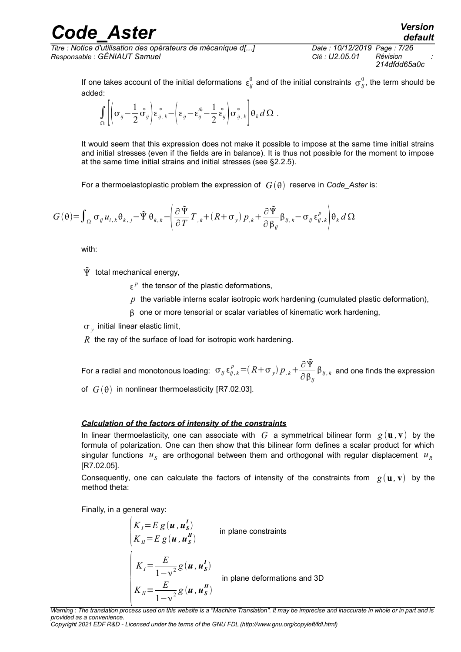*Titre : Notice d'utilisation des opérateurs de mécanique d[...] Date : 10/12/2019 Page : 7/26 Responsable : GÉNIAUT Samuel Clé : U2.05.01 Révision :*

*214dfdd65a0c*

If one takes account of the initial deformations  $\epsilon_{ij}^0$  and of the initial constraints  $\sigma_{ij}^0$ , the term should be added:

$$
\int_{\Omega}\left[\left(\sigma_{ij}-\frac{1}{2}\sigma_{ij}^{\circ}\right)\varepsilon_{ij,k}-\left(\varepsilon_{ij}-\varepsilon_{ij}^{th}-\frac{1}{2}\varepsilon_{ij}^{\circ}\right)\sigma_{ij,k}^{\circ}\right]\theta_{k} d\Omega.
$$

It would seem that this expression does not make it possible to impose at the same time initial strains and initial stresses (even if the fields are in balance). It is thus not possible for the moment to impose at the same time initial strains and initial stresses (see [§2.2.5\)](#page-11-1).

For a thermoelastoplastic problem the expression of  $G(\theta)$  reserve in *Code Aster* is:

$$
G(\theta) = \int_{\Omega} \sigma_{ij} u_{i,k} \theta_{k,j} - \tilde{\Psi} \theta_{k,k} - \left( \frac{\partial \tilde{\Psi}}{\partial T} T_{,k} + (R + \sigma_y) p_{,k} + \frac{\partial \tilde{\Psi}}{\partial \beta_{ij}} \beta_{ij,k} - \sigma_{ij} \epsilon_{ij,k}^p \right) \theta_k d\Omega
$$

with:

- $\tilde{\Psi}$  total mechanical energy.
	- $\epsilon^p$  the tensor of the plastic deformations,
	- *p* the variable interns scalar isotropic work hardening (cumulated plastic deformation),
	- one or more tensorial or scalar variables of kinematic work hardening,
- $\sigma_y$  initial linear elastic limit,
- *R* the ray of the surface of load for isotropic work hardening.

For a radial and monotonous loading:  $\sigma_{ij} \epsilon_{ij,k}^p = (R + \sigma_{ij}) p_{jk} + (R + \sigma_{ij})^2 p_{jk}$ ∂Ψ ∂*ij*  $\beta_{ij,k}$  and one finds the expression

of  $G(\theta)$  in nonlinear thermoelasticity [R7.02.03].

#### *Calculation of the factors of intensity of the constraints*

In linear thermoelasticity, one can associate with  $G$  a symmetrical bilinear form  $g(\mathbf{u}, \mathbf{v})$  by the formula of polarization. One can then show that this bilinear form defines a scalar product for which singular functions  $u_s$  are orthogonal between them and orthogonal with regular displacement  $u_R$ [R7.02.05].

Consequently, one can calculate the factors of intensity of the constraints from  $g(\mathbf{u}, \mathbf{v})$  by the method theta:

Finally, in a general way:

 $\sqrt{ }$ 

$$
\begin{cases}\nK_I = E g(\mathbf{u}, \mathbf{u}_s^I) & \text{in plane constraints} \\
K_{II} = E g(\mathbf{u}, \mathbf{u}_s^H)\n\end{cases}
$$
\n
$$
\begin{cases}\nK_I = \frac{E}{1 - v^2} g(\mathbf{u}, \mathbf{u}_s^I) & \text{in plane deformations and 3D} \\
K_{II} = \frac{E}{1 - v^2} g(\mathbf{u}, \mathbf{u}_s^H)\n\end{cases}
$$

*Warning : The translation process used on this website is a "Machine Translation". It may be imprecise and inaccurate in whole or in part and is provided as a convenience.*

*Copyright 2021 EDF R&D - Licensed under the terms of the GNU FDL (http://www.gnu.org/copyleft/fdl.html)*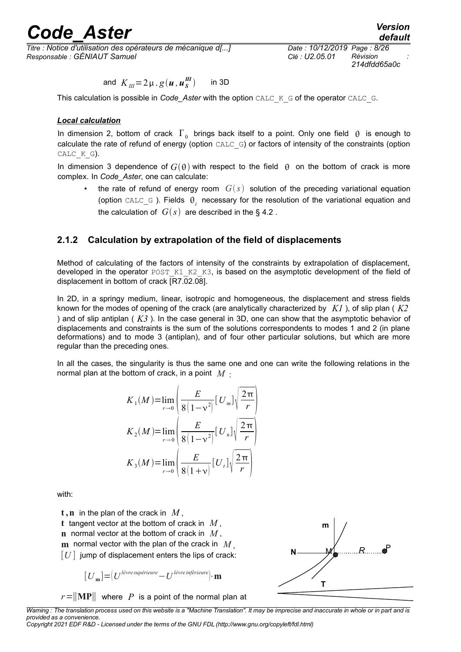*Titre : Notice d'utilisation des opérateurs de mécanique d[...] Date : 10/12/2019 Page : 8/26 Responsable : GÉNIAUT Samuel Clé : U2.05.01 Révision :*

**default  
rate** : 10/12/2019 Page : 8/26  

$$
\epsilon
$$
 : U2.05.01 Revision  
214dfdd65a0c

and  $K_{\mu\nu}=2\mu$ .  $g(u, u_s^H)$ *III* in 3D

This calculation is possible in *Code* Aster with the option CALC\_K\_G of the operator CALC\_G.

#### *Local calculation*

In dimension 2, bottom of crack  $\Gamma_0$  brings back itself to a point. Only one field  $\theta$  is enough to calculate the rate of refund of energy (option CALC\_G) or factors of intensity of the constraints (option CALC K G).

In dimension 3 dependence of  $G(\theta)$  with respect to the field  $\theta$  on the bottom of crack is more complex. In *Code\_Aster*, one can calculate:

the rate of refund of energy room  $G(s)$  solution of the preceding variational equation (option CALC<sub>\_</sub>G). Fields  $\theta_i$  necessary for the resolution of the variational equation and the calculation of  $G(s)$  are described in the § 4.2.

#### <span id="page-7-0"></span>**2.1.2 Calculation by extrapolation of the field of displacements**

Method of calculating of the factors of intensity of the constraints by extrapolation of displacement, developed in the operator POST\_K1\_K2\_K3, is based on the asymptotic development of the field of displacement in bottom of crack [R7.02.08].

In 2D, in a springy medium, linear, isotropic and homogeneous, the displacement and stress fields known for the modes of opening of the crack (are analytically characterized by *K1* ), of slip plan ( *K2* ) and of slip antiplan ( *K3* ). In the case general in 3D, one can show that the asymptotic behavior of displacements and constraints is the sum of the solutions correspondents to modes 1 and 2 (in plane deformations) and to mode 3 (antiplan), and of four other particular solutions, but which are more regular than the preceding ones.

In all the cases, the singularity is thus the same one and one can write the following relations in the normal plan at the bottom of crack, in a point *M* :

$$
K_1(M) = \lim_{r \to 0} \left( \frac{E}{8(1 - v^2)} \left[ U_m \right] \sqrt{\frac{2\pi}{r}} \right)
$$
  

$$
K_2(M) = \lim_{r \to 0} \left( \frac{E}{8(1 - v^2)} \left[ U_n \right] \sqrt{\frac{2\pi}{r}} \right)
$$
  

$$
K_3(M) = \lim_{r \to 0} \left( \frac{E}{8(1 + v)} \left[ U_t \right] \sqrt{\frac{2\pi}{r}} \right)
$$

with:

**t ,n** in the plan of the crack in *M* ,

**t** tangent vector at the bottom of crack in *M* ,

**n** normal vector at the bottom of crack in *M* ,

**m** normal vector with the plan of the crack in *M* ,

 $[U]$  jump of displacement enters the lips of crack:

$$
[U_{\mathbf{m}}]\text{=} [U^{\text{lever}\textit{supérieure}}\text{--}U^{\text{layer}\textit{inférieure}}]\text{·m}
$$

 $r = ||MP||$  where *P* is a point of the normal plan at



*Warning : The translation process used on this website is a "Machine Translation". It may be imprecise and inaccurate in whole or in part and is provided as a convenience.*

*Copyright 2021 EDF R&D - Licensed under the terms of the GNU FDL (http://www.gnu.org/copyleft/fdl.html)*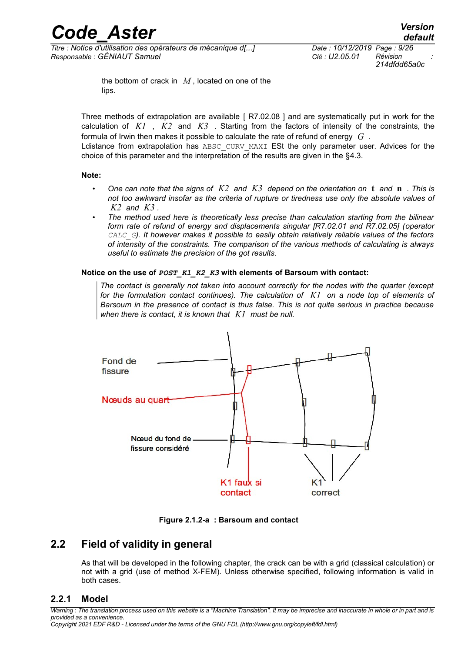*214dfdd65a0c*

the bottom of crack in *M* , located on one of the lips.

Three methods of extrapolation are available [ R7.02.08 ] and are systematically put in work for the calculation of *K1* , *K2* and *K3* . Starting from the factors of intensity of the constraints, the formula of Irwin then makes it possible to calculate the rate of refund of energy *G* .

Ldistance from extrapolation has ABSC CURV MAXI ESt the only parameter user. Advices for the choice of this parameter and the interpretation of the results are given in the [§4.3.](#page-21-0)

#### **Note:**

- *One can note that the signs of K2 and K3 depend on the orientation on* **t** *and* **n** *. This is not too awkward insofar as the criteria of rupture or tiredness use only the absolute values of K2 and K3 .*
- *The method used here is theoretically less precise than calculation starting from the bilinear form rate of refund of energy and displacements singular [R7.02.01 and R7.02.05] (operator CALC\_G). It however makes it possible to easily obtain relatively reliable values of the factors of intensity of the constraints. The comparison of the various methods of calculating is always useful to estimate the precision of the got results.*

#### **Notice on the use of** *POST\_K1\_K2\_K3* **with elements of Barsoum with contact:**

*The contact is generally not taken into account correctly for the nodes with the quarter (except for the formulation contact continues). The calculation of K1 on a node top of elements of Barsoum in the presence of contact is thus false. This is not quite serious in practice because when there is contact, it is known that K1 must be null.*



**Figure 2.1.2-a : Barsoum and contact**

#### **2.2 Field of validity in general**

<span id="page-8-1"></span>As that will be developed in the following chapter, the crack can be with a grid (classical calculation) or not with a grid (use of method X-FEM). Unless otherwise specified, following information is valid in both cases.

#### <span id="page-8-0"></span>**2.2.1 Model**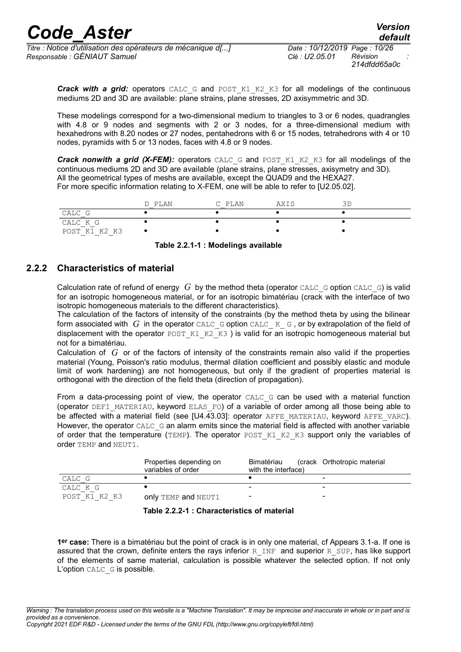*Titre : Notice d'utilisation des opérateurs de mécanique d[...] Date : 10/12/2019 Page : 10/26 Responsable : GÉNIAUT Samuel Clé : U2.05.01 Révision :*

*default*

*Crack with a grid:* operators CALC G and POST K1 K2 K3 for all modelings of the continuous mediums 2D and 3D are available: plane strains, plane stresses, 2D axisymmetric and 3D.

These modelings correspond for a two-dimensional medium to triangles to 3 or 6 nodes, quadrangles with 4.8 or 9 nodes and segments with 2 or 3 nodes, for a three-dimensional medium with hexahedrons with 8.20 nodes or 27 nodes, pentahedrons with 6 or 15 nodes, tetrahedrons with 4 or 10 nodes, pyramids with 5 or 13 nodes, faces with 4.8 or 9 nodes.

**Crack nonwith a grid (X-FEM):** operators CALC G and POST K1 K2 K3 for all modelings of the continuous mediums 2D and 3D are available (plane strains, plane stresses, axisymetry and 3D). All the geometrical types of meshs are available, except the QUAD9 and the HEXA27. For more specific information relating to X-FEM, one will be able to refer to [U2.05.02].

|                                | D PLAN | C PLAN | AXIS |  |
|--------------------------------|--------|--------|------|--|
| CALC G<br>$\sim$ $\sim$ $\sim$ |        |        |      |  |
| CALC K G                       |        |        |      |  |
| POST K1 K2 K3                  |        |        |      |  |

#### **2.2.2 Characteristics of material**

<span id="page-9-0"></span>Calculation rate of refund of energy  $G$  by the method theta (operator CALC  $\ G$  option CALC  $\ G$ ) is valid for an isotropic homogeneous material, or for an isotropic bimatériau (crack with the interface of two isotropic homogeneous materials to the different characteristics).

The calculation of the factors of intensity of the constraints (by the method theta by using the bilinear form associated with  $G$  in the operator CALC G option CALC  $K$  G, or by extrapolation of the field of displacement with the operator POST\_K1\_K2\_K3 ) is valid for an isotropic homogeneous material but not for a bimatériau.

Calculation of *G* or of the factors of intensity of the constraints remain also valid if the properties material (Young, Poisson's ratio modulus, thermal dilation coefficient and possibly elastic and module limit of work hardening) are not homogeneous, but only if the gradient of properties material is orthogonal with the direction of the field theta (direction of propagation).

From a data-processing point of view, the operator CALC G can be used with a material function (operator DEFI\_MATERIAU, keyword ELAS\_FO) of a variable of order among all those being able to be affected with a material field (see [U4.43.03]: operator AFFE\_MATERIAU, keyword AFFE\_VARC). However, the operator  $CALC$  G an alarm emits since the material field is affected with another variable of order that the temperature (TEMP). The operator POST  $K1$  K2 K3 support only the variables of order TEMP and NEUT1.

|               | Properties depending on<br>variables of order | Bimatériau<br>with the interface) | (crack Orthotropic material |
|---------------|-----------------------------------------------|-----------------------------------|-----------------------------|
| CALC G        |                                               |                                   |                             |
| CALC K G      |                                               | $\overline{\phantom{0}}$          | $\overline{\phantom{a}}$    |
| POST K1 K2 K3 | only TEMP and NEUT1                           | $\overline{\phantom{0}}$          | $\overline{\phantom{0}}$    |

|  | Table 2.2.2-1 : Characteristics of material |  |
|--|---------------------------------------------|--|
|--|---------------------------------------------|--|

**1er case:** There is a bimatériau but the point of crack is in only one material, cf Appears 3.1-a. If one is assured that the crown, definite enters the rays inferior R\_INF and superior R\_SUP, has like support of the elements of same material, calculation is possible whatever the selected option. If not only L'option CALC\_G is possible.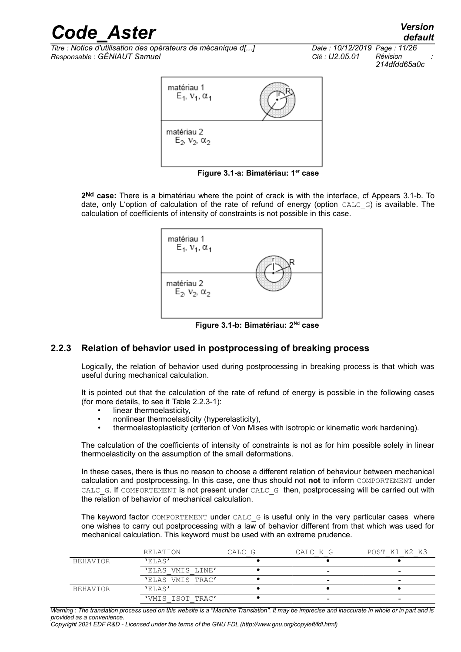*Titre : Notice d'utilisation des opérateurs de mécanique d[...] Date : 10/12/2019 Page : 11/26 Responsable : GÉNIAUT Samuel Clé : U2.05.01 Révision :*

*214dfdd65a0c*



**Figure 3.1-a: Bimatériau: 1er case**

**2Nd case:** There is a bimatériau where the point of crack is with the interface, cf Appears 3.1-b. To date, only L'option of calculation of the rate of refund of energy (option CALC G) is available. The calculation of coefficients of intensity of constraints is not possible in this case.



**Figure 3.1-b: Bimatériau: 2Nd case**

#### **2.2.3 Relation of behavior used in postprocessing of breaking process**

<span id="page-10-0"></span>Logically, the relation of behavior used during postprocessing in breaking process is that which was useful during mechanical calculation.

It is pointed out that the calculation of the rate of refund of energy is possible in the following cases (for more details, to see it [Table 2.2.3-1\)](#page-11-3):

- linear thermoelasticity.
- nonlinear thermoelasticity (hyperelasticity),
- thermoelastoplasticity (criterion of Von Mises with isotropic or kinematic work hardening).

The calculation of the coefficients of intensity of constraints is not as for him possible solely in linear thermoelasticity on the assumption of the small deformations.

In these cases, there is thus no reason to choose a different relation of behaviour between mechanical calculation and postprocessing. In this case, one thus should not **not** to inform COMPORTEMENT under CALC\_G. If COMPORTEMENT is not present under CALC\_G then, postprocessing will be carried out with the relation of behavior of mechanical calculation.

The keyword factor COMPORTEMENT under CALC G is useful only in the very particular cases where one wishes to carry out postprocessing with a law of behavior different from that which was used for mechanical calculation. This keyword must be used with an extreme prudence.

|                 | RELATION         | CALC G | CALC K G                 | POST K1 K2 K3 |
|-----------------|------------------|--------|--------------------------|---------------|
| <b>BEHAVIOR</b> | 'ELAS'           |        |                          |               |
|                 | 'ELAS VMIS LINE' |        |                          |               |
|                 | 'ELAS VMIS TRAC' |        | $\overline{\phantom{a}}$ | -             |
| <b>BEHAVIOR</b> | 'ELAS'           |        |                          |               |
|                 | 'VMIS ISOT TRAC' |        |                          |               |

*Warning : The translation process used on this website is a "Machine Translation". It may be imprecise and inaccurate in whole or in part and is provided as a convenience.*

*Copyright 2021 EDF R&D - Licensed under the terms of the GNU FDL (http://www.gnu.org/copyleft/fdl.html)*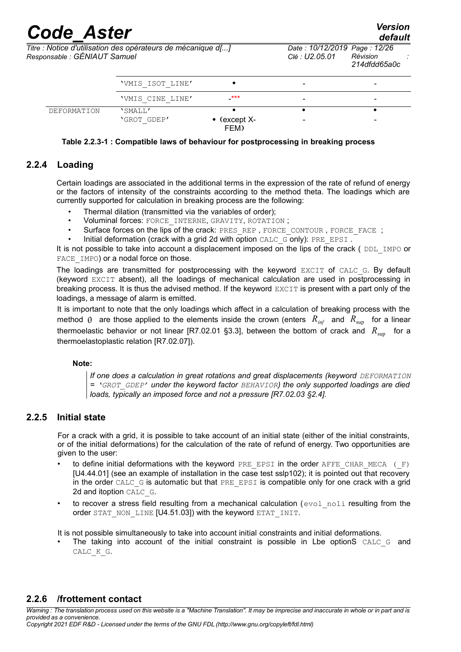*Titre : Notice d'utilisation des opérateurs de mécanique d[...] Date : 10/12/2019 Page : 12/26 Responsable : GÉNIAUT Samuel Clé : U2.05.01 Révision :*

|             |                  |                              | 214dfdd65a0c |
|-------------|------------------|------------------------------|--------------|
|             | 'VMIS ISOT LINE' |                              | -            |
|             | 'VMIS CINE LINE' | ***                          | -            |
| DEFORMATION | 'SMALL'          |                              |              |
|             | 'GROT GDEP'      | $\bullet$ (except X-<br>FEM) |              |

<span id="page-11-3"></span>

|  |  |  | Table 2.2.3-1:Compatible laws of behaviour for postprocessing in breaking process |  |
|--|--|--|-----------------------------------------------------------------------------------|--|
|--|--|--|-----------------------------------------------------------------------------------|--|

#### **2.2.4 Loading**

<span id="page-11-2"></span>Certain loadings are associated in the additional terms in the expression of the rate of refund of energy or the factors of intensity of the constraints according to the method theta. The loadings which are currently supported for calculation in breaking process are the following:

- Thermal dilation (transmitted via the variables of order);
- Voluminal forces: FORCE\_INTERNE, GRAVITY, ROTATION ;
- Surface forces on the lips of the crack: PRES\_REP, FORCE\_CONTOUR, FORCE\_FACE;
- Initial deformation (crack with a grid 2d with option CALC\_G only): PRE\_EPSI.

It is not possible to take into account a displacement imposed on the lips of the crack ( DDL IMPO or FACE IMPO) or a nodal force on those.

The loadings are transmitted for postprocessing with the keyword  $EXCIT$  of CALC G. By default (keyword EXCIT absent), all the loadings of mechanical calculation are used in postprocessing in breaking process. It is thus the advised method. If the keyword  $EXCIT$  is present with a part only of the loadings, a message of alarm is emitted.

It is important to note that the only loadings which affect in a calculation of breaking process with the method  $\theta$  are those applied to the elements inside the crown (enters  $R_{inf}$  and  $R_{sup}$  for a linear thermoelastic behavior or not linear [R7.02.01 §3.3], between the bottom of crack and  $R_{\rm sun}$  for a thermoelastoplastic relation [R7.02.07]).

#### **Note:**

*If one does a calculation in great rotations and great displacements (keyword DEFORMATION = 'GROT\_GDEP' under the keyword factor BEHAVIOR) the only supported loadings are died loads, typically an imposed force and not a pressure [R7.02.03 §2.4].*

#### **2.2.5 Initial state**

<span id="page-11-1"></span>For a crack with a grid, it is possible to take account of an initial state (either of the initial constraints, or of the initial deformations) for the calculation of the rate of refund of energy. Two opportunities are given to the user:

- to define initial deformations with the keyword PRE EPSI in the order AFFE CHAR MECA  $($  F) [U4.44.01] (see an example of installation in the case test sslp102); it is pointed out that recovery in the order CALC\_G is automatic but that PRE\_EPSI is compatible only for one crack with a grid 2d and itoption CALC G.
- to recover a stress field resulting from a mechanical calculation (evol noli resulting from the order STAT\_NON\_LINE [U4.51.03]) with the keyword ETAT\_INIT.

It is not possible simultaneously to take into account initial constraints and initial deformations.

The taking into account of the initial constraint is possible in Lbe optionS CALC G and CALC\_K\_G.

#### <span id="page-11-0"></span>**2.2.6 /frottement contact**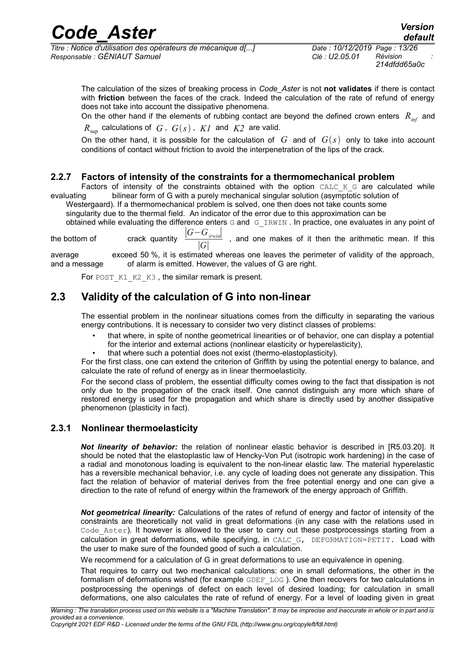*214dfdd65a0c*

The calculation of the sizes of breaking process in *Code\_Aster* is not **not validates** if there is contact with **friction** between the faces of the crack. Indeed the calculation of the rate of refund of energy does not take into account the dissipative phenomena.

On the other hand if the elements of rubbing contact are beyond the defined crown enters  $R_{i,j}$  and

 $R_{\text{sup}}$  calculations of  $\,G\,,\,\,G(s)\,,\,\,K\hspace{.3pt}I\,$  and  $\,K\hspace{-.3pt}2\,$  are valid.

On the other hand, it is possible for the calculation of  $G$  and of  $G(s)$  only to take into account conditions of contact without friction to avoid the interpenetration of the lips of the crack.

#### <span id="page-12-2"></span>**2.2.7 Factors of intensity of the constraints for a thermomechanical problem**

Factors of intensity of the constraints obtained with the option CALC  $K$  G are calculated while evaluating bilinear form of G with a purely mechanical singular solution (asymptotic solution of

Westergaard). If a thermomechanical problem is solved, one then does not take counts some singularity due to the thermal field. An indicator of the error due to this approximation can be

obtained while evaluating the difference enters G and G IRWIN. In practice, one evaluates in any point of ∣*G*−*Girwin*∣

the bottom of crack quantity ∣*G*∣ , and one makes of it then the arithmetic mean. If this

average exceed 50 %, it is estimated whereas one leaves the perimeter of validity of the approach, and a message of alarm is emitted. However, the values of G are right.

<span id="page-12-1"></span>For POST K1 K2 K3, the similar remark is present.

#### **2.3 Validity of the calculation of G into non-linear**

The essential problem in the nonlinear situations comes from the difficulty in separating the various energy contributions. It is necessary to consider two very distinct classes of problems:

- that where, in spite of nonthe geometrical linearities or of behavior, one can display a potential for the interior and external actions (nonlinear elasticity or hyperelasticity),
- that where such a potential does not exist (thermo-elastoplasticity).

For the first class, one can extend the criterion of Griffith by using the potential energy to balance, and calculate the rate of refund of energy as in linear thermoelasticity.

For the second class of problem, the essential difficulty comes owing to the fact that dissipation is not only due to the propagation of the crack itself. One cannot distinguish any more which share of restored energy is used for the propagation and which share is directly used by another dissipative phenomenon (plasticity in fact).

#### **2.3.1 Nonlinear thermoelasticity**

<span id="page-12-0"></span>*Not linearity of behavior:* the relation of nonlinear elastic behavior is described in [R5.03.20]. It should be noted that the elastoplastic law of Hencky-Von Put (isotropic work hardening) in the case of a radial and monotonous loading is equivalent to the non-linear elastic law. The material hyperelastic has a reversible mechanical behavior, i.e. any cycle of loading does not generate any dissipation. This fact the relation of behavior of material derives from the free potential energy and one can give a direction to the rate of refund of energy within the framework of the energy approach of Griffith.

*Not geometrical linearity:* Calculations of the rates of refund of energy and factor of intensity of the constraints are theoretically not valid in great deformations (in any case with the relations used in Code Aster). It however is allowed to the user to carry out these postprocessings starting from a calculation in great deformations, while specifying, in CALC G, DEFORMATION=PETIT. Load with the user to make sure of the founded good of such a calculation.

We recommend for a calculation of G in great deformations to use an equivalence in opening.

That requires to carry out two mechanical calculations: one in small deformations, the other in the formalism of deformations wished (for example GDEF LOG). One then recovers for two calculations in postprocessing the openings of defect on each level of desired loading; for calculation in small deformations, one also calculates the rate of refund of energy. For a level of loading given in great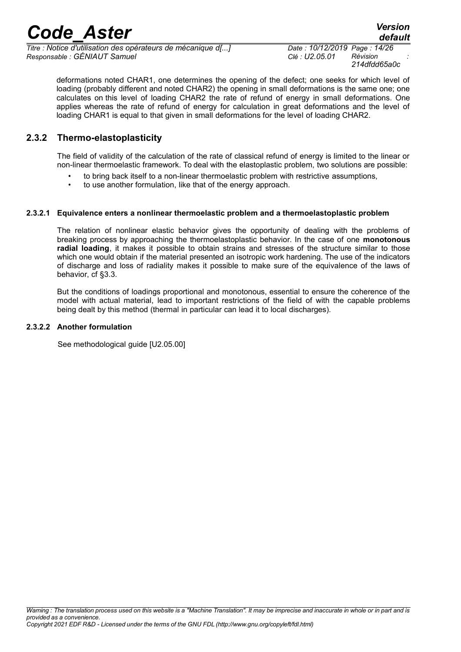*Titre : Notice d'utilisation des opérateurs de mécanique d[...] Date : 10/12/2019 Page : 14/26 Responsable : GÉNIAUT Samuel Clé : U2.05.01 Révision :*

*214dfdd65a0c*

deformations noted CHAR1, one determines the opening of the defect; one seeks for which level of loading (probably different and noted CHAR2) the opening in small deformations is the same one; one calculates on this level of loading CHAR2 the rate of refund of energy in small deformations. One applies whereas the rate of refund of energy for calculation in great deformations and the level of loading CHAR1 is equal to that given in small deformations for the level of loading CHAR2.

#### **2.3.2 Thermo-elastoplasticity**

<span id="page-13-0"></span>The field of validity of the calculation of the rate of classical refund of energy is limited to the linear or non-linear thermoelastic framework. To deal with the elastoplastic problem, two solutions are possible:

- to bring back itself to a non-linear thermoelastic problem with restrictive assumptions,
- to use another formulation, like that of the energy approach.

#### **2.3.2.1 Equivalence enters a nonlinear thermoelastic problem and a thermoelastoplastic problem**

The relation of nonlinear elastic behavior gives the opportunity of dealing with the problems of breaking process by approaching the thermoelastoplastic behavior. In the case of one **monotonous radial loading**, it makes it possible to obtain strains and stresses of the structure similar to those which one would obtain if the material presented an isotropic work hardening. The use of the indicators of discharge and loss of radiality makes it possible to make sure of the equivalence of the laws of behavior, cf [§3.3.](#page-16-0)

But the conditions of loadings proportional and monotonous, essential to ensure the coherence of the model with actual material, lead to important restrictions of the field of with the capable problems being dealt by this method (thermal in particular can lead it to local discharges).

#### **2.3.2.2 Another formulation**

See methodological guide [U2.05.00]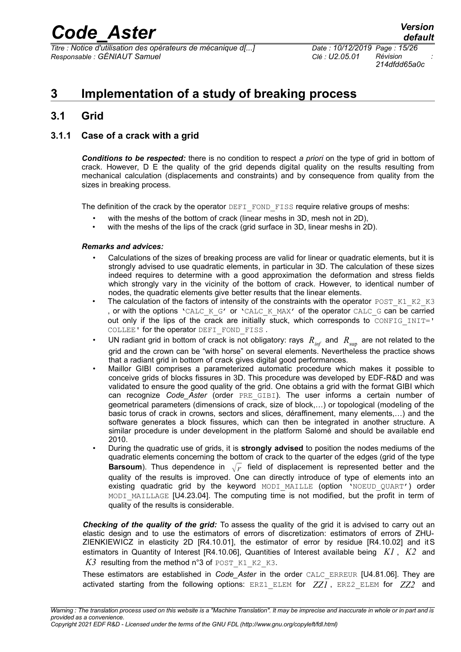*Titre : Notice d'utilisation des opérateurs de mécanique d[...] Date : 10/12/2019 Page : 15/26 Responsable : GÉNIAUT Samuel Clé : U2.05.01 Révision :*

*214dfdd65a0c*

### <span id="page-14-2"></span>**3 Implementation of a study of breaking process**

#### <span id="page-14-1"></span>**3.1 Grid**

#### **3.1.1 Case of a crack with a grid**

<span id="page-14-0"></span>*Conditions to be respected:* there is no condition to respect *a priori* on the type of grid in bottom of crack. However, D E the quality of the grid depends digital quality on the results resulting from mechanical calculation (displacements and constraints) and by consequence from quality from the sizes in breaking process.

The definition of the crack by the operator DEFI\_FOND\_FISS require relative groups of meshs:

- with the meshs of the bottom of crack (linear meshs in 3D, mesh not in 2D),
- with the meshs of the lips of the crack (grid surface in 3D, linear meshs in 2D).

#### *Remarks and advices:*

- Calculations of the sizes of breaking process are valid for linear or quadratic elements, but it is strongly advised to use quadratic elements, in particular in 3D. The calculation of these sizes indeed requires to determine with a good approximation the deformation and stress fields which strongly vary in the vicinity of the bottom of crack. However, to identical number of nodes, the quadratic elements give better results that the linear elements.
- The calculation of the factors of intensity of the constraints with the operator POST  $K1_K2_K3$ , or with the options 'CALC\_K\_G' or 'CALC\_K\_MAX' of the operator CALC\_G can be carried out only if the lips of the crack are initially stuck, which corresponds to  $CONFIGINT="$ COLLEE' for the operator DEFI\_FOND\_FISS.
- UN radiant grid in bottom of crack is not obligatory: rays  $R_{_{inf}}$  and  $R_{_{sup}}$  are not related to the grid and the crown can be "with horse" on several elements. Nevertheless the practice shows that a radiant grid in bottom of crack gives digital good performances.
- Maillor GIBI comprises a parameterized automatic procedure which makes it possible to conceive grids of blocks fissures in 3D. This procedure was developed by EDF-R&D and was validated to ensure the good quality of the grid. One obtains a grid with the format GIBI which can recognize *Code\_Aster* (order PRE\_GIBI). The user informs a certain number of geometrical parameters (dimensions of crack, size of block,…) or topological (modeling of the basic torus of crack in crowns, sectors and slices, déraffinement, many elements,…) and the software generates a block fissures, which can then be integrated in another structure. A similar procedure is under development in the platform Salomé and should be available end 2010.
- During the quadratic use of grids, it is **strongly advised** to position the nodes mediums of the quadratic elements concerning the bottom of crack to the quarter of the edges (grid of the type **Barsoum**). Thus dependence in  $\sqrt{r}$  field of displacement is represented better and the quality of the results is improved. One can directly introduce of type of elements into an existing quadratic grid by the keyword MODI MAILLE (option 'NOEUD QUART') order MODI MAILLAGE [U4.23.04]. The computing time is not modified, but the profit in term of quality of the results is considerable.

*Checking of the quality of the grid:* To assess the quality of the grid it is advised to carry out an elastic design and to use the estimators of errors of discretization: estimators of errors of ZHU-ZIENKIEWICZ in elasticity 2D [R4.10.01], the estimator of error by residue [R4.10.02] and itS estimators in Quantity of Interest [R4.10.06], Quantities of Interest available being *K1* , *K2* and K3 resulting from the method n°3 of POST\_K1\_K2\_K3.

These estimators are established in *Code\_Aster* in the order CALC\_ERREUR [U4.81.06]. They are activated starting from the following options: ERZ1\_ELEM for *ZZ1* , ERZ2\_ELEM for *ZZ2* and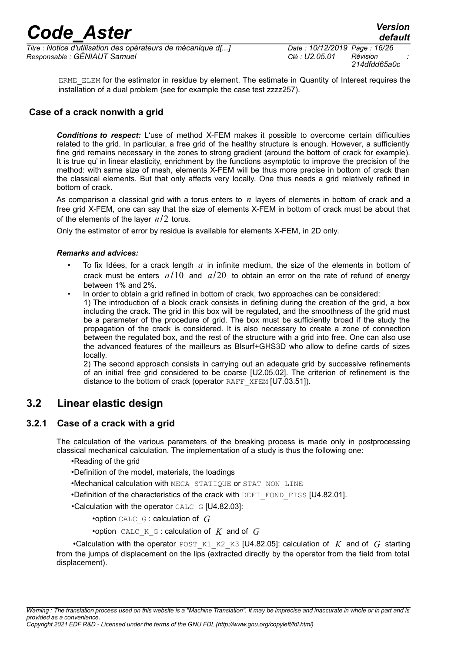*Titre : Notice d'utilisation des opérateurs de mécanique d[...] Date : 10/12/2019 Page : 16/26 Responsable : GÉNIAUT Samuel Clé : U2.05.01 Révision :*

*214dfdd65a0c*

ERME\_ELEM for the estimator in residue by element. The estimate in Quantity of Interest requires the installation of a dual problem (see for example the case test zzzz257).

#### <span id="page-15-2"></span> **Case of a crack nonwith a grid**

*Conditions to respect:* L'use of method X-FEM makes it possible to overcome certain difficulties related to the grid. In particular, a free grid of the healthy structure is enough. However, a sufficiently fine grid remains necessary in the zones to strong gradient (around the bottom of crack for example). It is true qu' in linear elasticity, enrichment by the functions asymptotic to improve the precision of the method: with same size of mesh, elements X-FEM will be thus more precise in bottom of crack than the classical elements. But that only affects very locally. One thus needs a grid relatively refined in bottom of crack.

As comparison a classical grid with a torus enters to *n* layers of elements in bottom of crack and a free grid X-FEM, one can say that the size of elements X-FEM in bottom of crack must be about that of the elements of the layer *n*/2 torus.

Only the estimator of error by residue is available for elements X-FEM, in 2D only.

#### *Remarks and advices:*

- To fix Idées, for a crack length *a* in infinite medium, the size of the elements in bottom of crack must be enters *a*/10 and *a*/20 to obtain an error on the rate of refund of energy between 1% and 2%.
- In order to obtain a grid refined in bottom of crack, two approaches can be considered:

1) The introduction of a block crack consists in defining during the creation of the grid, a box including the crack. The grid in this box will be regulated, and the smoothness of the grid must be a parameter of the procedure of grid. The box must be sufficiently broad if the study the propagation of the crack is considered. It is also necessary to create a zone of connection between the regulated box, and the rest of the structure with a grid into free. One can also use the advanced features of the mailleurs as Blsurf+GHS3D who allow to define cards of sizes locally.

2) The second approach consists in carrying out an adequate grid by successive refinements of an initial free grid considered to be coarse [U2.05.02]. The criterion of refinement is the distance to the bottom of crack (operator RAFF\_XFEM [U7.03.51]).

#### <span id="page-15-1"></span>**3.2 Linear elastic design**

#### **3.2.1 Case of a crack with a grid**

<span id="page-15-0"></span>The calculation of the various parameters of the breaking process is made only in postprocessing classical mechanical calculation. The implementation of a study is thus the following one:

- •Reading of the grid
- •Definition of the model, materials, the loadings
- •Mechanical calculation with MECA\_STATIQUE or STAT\_NON\_LINE
- •Definition of the characteristics of the crack with DEFI\_FOND\_FISS [U4.82.01].
- •Calculation with the operator CALC\_G [U4.82.03]:

•option CALC\_G : calculation of *G*

•option CALC  $K$  G: calculation of  $K$  and of  $G$ 

•Calculation with the operator POST\_K1\_K2\_K3 [U4.82.05]: calculation of *K* and of *G* starting from the jumps of displacement on the lips (extracted directly by the operator from the field from total displacement).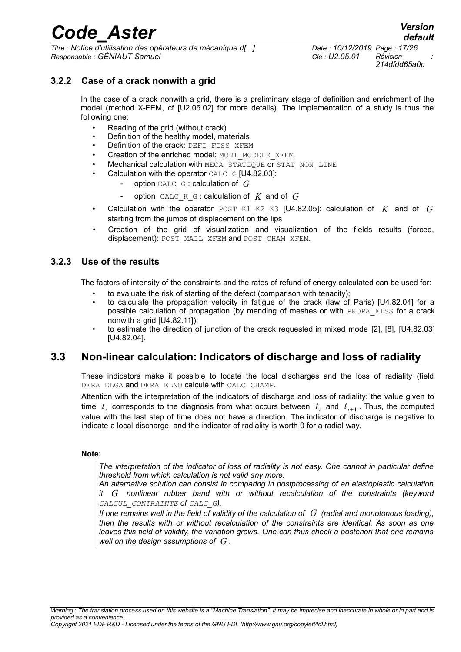*Titre : Notice d'utilisation des opérateurs de mécanique d[...] Date : 10/12/2019 Page : 17/26 Responsable : GÉNIAUT Samuel Clé : U2.05.01 Révision :*

*214dfdd65a0c*

#### **3.2.2 Case of a crack nonwith a grid**

<span id="page-16-2"></span>In the case of a crack nonwith a grid, there is a preliminary stage of definition and enrichment of the model (method X-FEM, cf [U2.05.02] for more details). The implementation of a study is thus the following one:

- Reading of the grid (without crack)
- Definition of the healthy model, materials
- Definition of the crack: DEFI\_FISS\_XFEM
- Creation of the enriched model: MODI\_MODELE\_XFEM
- Mechanical calculation with MECA\_STATIQUE or STAT\_NON\_LINE
	- Calculation with the operator  $CALC$  G  $[U4.82.03]$ :
		- option CALC\_G : calculation of *G*
		- option CALC  $K$  G: calculation of  $K$  and of  $G$
- Calculation with the operator POST K1 K2 K3 [U4.82.05]: calculation of  $K$  and of  $G$ starting from the jumps of displacement on the lips
- Creation of the grid of visualization and visualization of the fields results (forced, displacement): POST\_MAIL\_XFEM and POST\_CHAM\_XFEM.

#### **3.2.3 Use of the results**

<span id="page-16-1"></span>The factors of intensity of the constraints and the rates of refund of energy calculated can be used for:

- to evaluate the risk of starting of the defect (comparison with tenacity);
- to calculate the propagation velocity in fatigue of the crack (law of Paris) [U4.82.04] for a possible calculation of propagation (by mending of meshes or with PROPA\_FISS for a crack nonwith a grid [U4.82.11]);
- to estimate the direction of junction of the crack requested in mixed mode [\[2\],](#page-25-8) [\[8\],](#page-25-7) [U4.82.03] [U4.82.04].

#### **3.3 Non-linear calculation: Indicators of discharge and loss of radiality**

<span id="page-16-0"></span>These indicators make it possible to locate the local discharges and the loss of radiality (field DERA ELGA and DERA ELNO calculé with CALC CHAMP.

Attention with the interpretation of the indicators of discharge and loss of radiality: the value given to time  $t_i$  corresponds to the diagnosis from what occurs between  $t_i$  and  $t_{i+1}$ . Thus, the computed value with the last step of time does not have a direction. The indicator of discharge is negative to indicate a local discharge, and the indicator of radiality is worth 0 for a radial way.

#### **Note:**

*The interpretation of the indicator of loss of radiality is not easy. One cannot in particular define threshold from which calculation is not valid any more.*

*An alternative solution can consist in comparing in postprocessing of an elastoplastic calculation it G nonlinear rubber band with or without recalculation of the constraints (keyword CALCUL\_CONTRAINTE of CALC\_G).*

*If one remains well in the field of validity of the calculation of G (radial and monotonous loading), then the results with or without recalculation of the constraints are identical. As soon as one leaves this field of validity, the variation grows. One can thus check a posteriori that one remains well on the design assumptions of G .*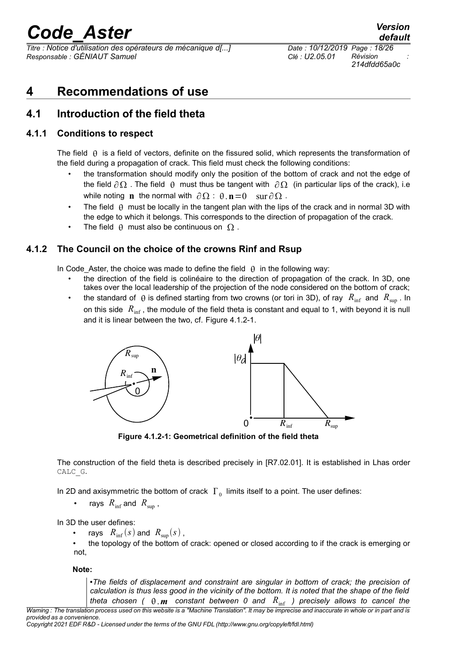*Titre : Notice d'utilisation des opérateurs de mécanique d[...] Date : 10/12/2019 Page : 18/26 Responsable : GÉNIAUT Samuel Clé : U2.05.01 Révision :*

*214dfdd65a0c*

### <span id="page-17-3"></span>**4 Recommendations of use**

#### <span id="page-17-2"></span>**4.1 Introduction of the field theta**

#### **4.1.1 Conditions to respect**

<span id="page-17-1"></span>The field  $\theta$  is a field of vectors, definite on the fissured solid, which represents the transformation of the field during a propagation of crack. This field must check the following conditions:

- the transformation should modify only the position of the bottom of crack and not the edge of the field  $\partial \Omega$ . The field  $\theta$  must thus be tangent with  $\partial \Omega$  (in particular lips of the crack), i.e while noting **n** the normal with  $\partial \Omega$  :  $\theta$  **n** = 0 sur  $\partial \Omega$ .
- The field  $\theta$  must be locally in the tangent plan with the lips of the crack and in normal 3D with the edge to which it belongs. This corresponds to the direction of propagation of the crack.
- The field  $\theta$  must also be continuous on  $\Omega$ .

#### **4.1.2 The Council on the choice of the crowns Rinf and Rsup**

<span id="page-17-0"></span>In Code, Aster, the choice was made to define the field  $\theta$  in the following way:

- the direction of the field is colinéaire to the direction of propagation of the crack. In 3D, one takes over the local leadership of the projection of the node considered on the bottom of crack;
- the standard of  $\theta$  is defined starting from two crowns (or tori in 3D), of ray  $R_{\text{inf}}$  and  $R_{\text{sup}}$ . In on this side  $R_{\text{inf}}$ , the module of the field theta is constant and equal to 1, with beyond it is null and it is linear between the two, cf. [Figure 4.1.2-1.](#page-17-4)



<span id="page-17-4"></span>**Figure 4.1.2-1: Geometrical definition of the field theta**

The construction of the field theta is described precisely in [R7.02.01]. It is established in Lhas order CALC\_G.

In 2D and axisymmetric the bottom of crack  $\Gamma_0$  limits itself to a point. The user defines:

rays  $R_{\text{inf}}$  and  $R_{\text{sup}}$ ,

In 3D the user defines:

- rays  $R_{\inf}(s)$  and  $R_{\sup}(s)$ ,
- the topology of the bottom of crack: opened or closed according to if the crack is emerging or not,

**Note:**

•*The fields of displacement and constraint are singular in bottom of crack; the precision of calculation is thus less good in the vicinity of the bottom. It is noted that the shape of the field theta chosen (*  $\theta$ *m* constant between 0 and  $R_{\text{inf}}$  ) precisely allows to cancel the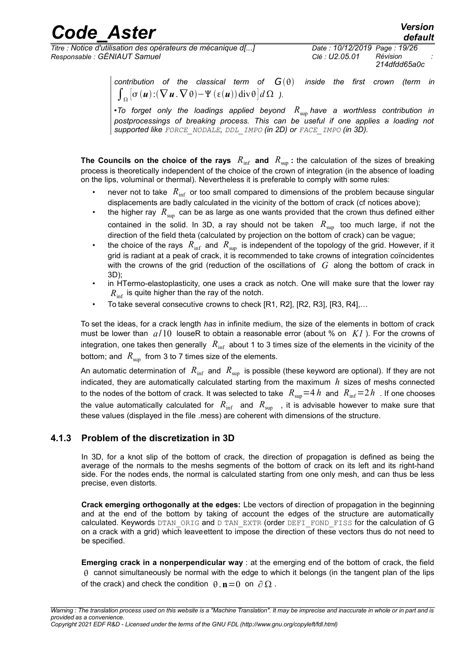*Titre : Notice d'utilisation des opérateurs de mécanique d[...] Date : 10/12/2019 Page : 19/26 Responsable : GÉNIAUT Samuel Clé : U2.05.01 Révision :*

*214dfdd65a0c*

*contribution of the classical term of* G *inside the first crown (term in*  $\int_{\Omega} \left[ \sigma(\boldsymbol{u}) \cdot (\nabla \boldsymbol{u} \cdot \nabla \theta) - \Psi(\epsilon(\boldsymbol{u})) \operatorname{div} \theta \right] d \Omega$ ).

•*To forget only the loadings applied beyond R*sup *have a worthless contribution in postprocessings of breaking process. This can be useful if one applies a loading not supported like FORCE\_NODALE, DDL\_IMPO (in 2D) or FACE\_IMPO (in 3D).*

**The Councils on the choice of the rays**  $R_{\text{inf}}$  and  $R_{\text{sup}}$  : the calculation of the sizes of breaking process is theoretically independent of the choice of the crown of integration (in the absence of loading on the lips, voluminal or thermal). Nevertheless it is preferable to comply with some rules:

- never not to take  $R_{\text{inf}}$  or too small compared to dimensions of the problem because singular displacements are badly calculated in the vicinity of the bottom of crack (cf notices above);
- the higher ray  $R_{\text{sun}}$  can be as large as one wants provided that the crown thus defined either contained in the solid. In 3D, a ray should not be taken  $R_{\rm sun}$  too much large, if not the direction of the field theta (calculated by projection on the bottom of crack) can be vague;
- the choice of the rays  $R_{\text{inf}}$  and  $R_{\text{sup}}$  is independent of the topology of the grid. However, if it grid is radiant at a peak of crack, it is recommended to take crowns of integration coïncidentes with the crowns of the grid (reduction of the oscillations of G along the bottom of crack in 3D);
- in HTermo-elastoplasticity, one uses a crack as notch. One will make sure that the lower ray  $R_{\text{inf}}$  is quite higher than the ray of the notch.
- To take several consecutive crowns to check [R1, R2], [R2, R3], [R3, R4],…

To set the ideas, for a crack length *has* in infinite medium, the size of the elements in bottom of crack must be lower than *a*/10 louseR to obtain a reasonable error (about % on *K1* ). For the crowns of integration, one takes then generally  $R_{\text{inf}}$  about 1 to 3 times size of the elements in the vicinity of the bottom; and  $R_{\text{sun}}$  from 3 to 7 times size of the elements.

An automatic determination of  $R_{\text{inf}}$  and  $R_{\text{sup}}$  is possible (these keyword are optional). If they are not indicated, they are automatically calculated starting from the maximum *h* sizes of meshs connected to the nodes of the bottom of crack. It was selected to take  $R_{\text{sun}}=4 h$  and  $R_{\text{inf}}=2 h$ . If one chooses the value automatically calculated for  $R_{\text{inf}}$  and  $R_{\text{sup}}$ , it is advisable however to make sure that these values (displayed in the file .mess) are coherent with dimensions of the structure.

#### **4.1.3 Problem of the discretization in 3D**

<span id="page-18-0"></span>In 3D, for a knot slip of the bottom of crack, the direction of propagation is defined as being the average of the normals to the meshs segments of the bottom of crack on its left and its right-hand side. For the nodes ends, the normal is calculated starting from one only mesh, and can thus be less precise, even distorts.

**Crack emerging orthogonally at the edges:** Lbe vectors of direction of propagation in the beginning and at the end of the bottom by taking of account the edges of the structure are automatically calculated. Keywords DTAN\_ORIG and D TAN\_EXTR (order DEFI\_FOND\_FISS for the calculation of G on a crack with a grid) which leaveettent to impose the direction of these vectors thus do not need to be specified.

**Emerging crack in a nonperpendicular way** : at the emerging end of the bottom of crack, the field  $\theta$  cannot simultaneously be normal with the edge to which it belongs (in the tangent plan of the lips of the crack) and check the condition  $\theta$ , **n**=0 on  $\partial \Omega$ .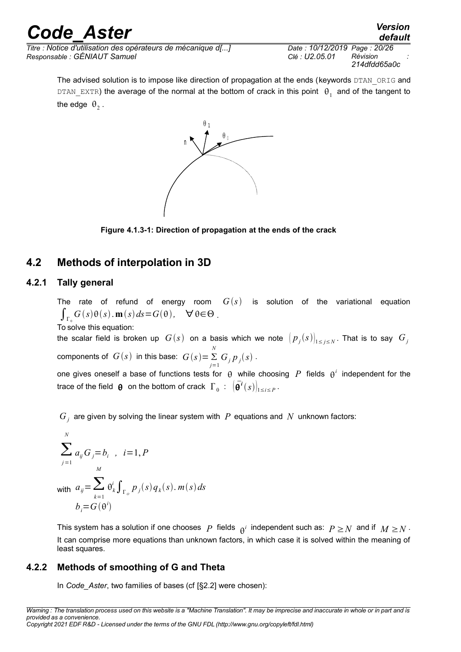*Titre : Notice d'utilisation des opérateurs de mécanique d[...] Date : 10/12/2019 Page : 20/26 Responsable : GÉNIAUT Samuel Clé : U2.05.01 Révision :*

*214dfdd65a0c*

*default*

The advised solution is to impose like direction of propagation at the ends (keywords DTAN\_ORIG and DTAN\_EXTR) the average of the normal at the bottom of crack in this point  $\Theta_1^-$  and of the tangent to the edge  $\theta_2$ .



**Figure 4.1.3-1: Direction of propagation at the ends of the crack**

#### <span id="page-19-2"></span>**4.2 Methods of interpolation in 3D**

#### **4.2.1 Tally general**

<span id="page-19-1"></span>The rate of refund of energy room  $G(s)$  is solution of the variational equation  $\int_{\Gamma_0} G(s) \theta(s) \cdot \mathbf{m}(s) ds = G(\theta), \quad \forall \theta \in \Theta.$ 

To solve this equation:

the scalar field is broken up  $|G(s)|$  on a basis which we note  $\left\vert p_{j}(s)\right\vert _{1\leq j\leq N}.$  That is to say  $|G_{j}|$ components of  $G(s)$  in this base:  $G(s) = \Sigma$ *j*=1 *N*  $G_{j} p_{j}(s)$ .

one gives oneself a base of functions tests for  $\theta$  while choosing  $P$  fields  $\theta^i$  independent for the trace of the field  $\,\bm{\theta}\,$  on the bottom of crack  $\,\,\Gamma_{\,0}\,:\,\, \bigl.\bigl.\bigl(\overline{\bm{\theta}}^{\bm{i}}(s)\bigr)_{1\leq i \leq P}$  .

 $G_j$  are given by solving the linear system with  $|P|$  equations and  $|N|$  unknown factors:

$$
\sum_{j=1}^{N} a_{ij} G_j = b_i, \quad i = 1, P
$$
  
with  $a_{ij} = \sum_{k=1}^{M} \theta_k^i \int_{\Gamma_o} p_j(s) q_k(s) \cdot m(s) ds$   
 $b_i = G(\theta^i)$ 

This system has a solution if one chooses  $\;P\;$  fields  $\;{\rm e}^{\it i} \;$  independent such as:  $\;P \geq N \;$  and if  $\;M \geq N \; .$ It can comprise more equations than unknown factors, in which case it is solved within the meaning of least squares.

#### **4.2.2 Methods of smoothing of G and Theta**

<span id="page-19-0"></span>In *Code\_Aster*, two families of bases (cf [§2.2] were chosen):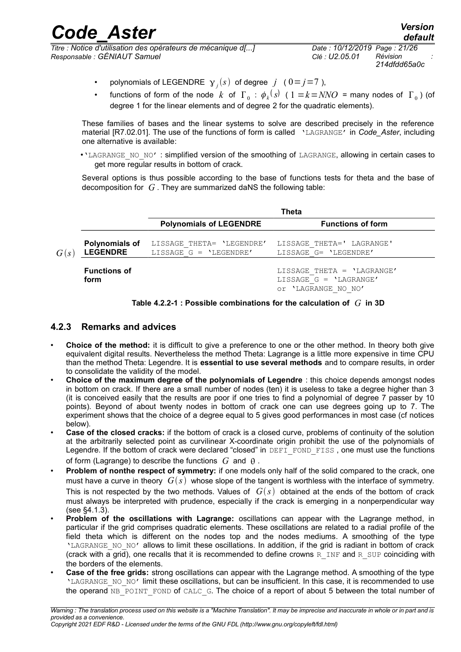*Titre : Notice d'utilisation des opérateurs de mécanique d[...] Date : 10/12/2019 Page : 21/26 Responsable : GÉNIAUT Samuel Clé : U2.05.01 Révision :*

*214dfdd65a0c*

- polynomials of LEGENDRE  $\gamma_j(s)$  of degree  $j \in (0=j=7)$ ,
- functions of form of the node  $k$  of  $\Gamma^{}_0$  :  $\phi^{}_k (s)$  (  $1 = k$   $=$   $NNO$  = many nodes of  $\Gamma^{}_0$  ) (of degree 1 for the linear elements and of degree 2 for the quadratic elements).

These families of bases and the linear systems to solve are described precisely in the reference material [R7.02.01]. The use of the functions of form is called 'LAGRANGE' in *Code\_Aster*, including one alternative is available:

• 'LAGRANGE NO NO' : simplified version of the smoothing of LAGRANGE, allowing in certain cases to get more regular results in bottom of crack.

Several options is thus possible according to the base of functions tests for theta and the base of decomposition for *G* . They are summarized daNS the following table:

|      |                                   |                                                       | Theta                                                                            |
|------|-----------------------------------|-------------------------------------------------------|----------------------------------------------------------------------------------|
|      |                                   | <b>Polynomials of LEGENDRE</b>                        | <b>Functions of form</b>                                                         |
| G(s) | Polynomials of<br><b>LEGENDRE</b> | LISSAGE THETA= 'LEGENDRE'<br>LISSAGE $G = 'LEGENDRE'$ | LISSAGE THETA=' LAGRANGE'<br>LISSAGE G= 'LEGENDRE'                               |
|      | <b>Functions of</b><br>form       |                                                       | LISSAGE THETA = $'$ LAGRANGE'<br>LISSAGE $G = 'LAGRANGE'$<br>or 'LAGRANGE NO NO' |



#### <span id="page-20-0"></span>**4.2.3 Remarks and advices**

- **Choice of the method:** it is difficult to give a preference to one or the other method. In theory both give equivalent digital results. Nevertheless the method Theta: Lagrange is a little more expensive in time CPU than the method Theta: Legendre. It is **essential to use several methods** and to compare results, in order to consolidate the validity of the model.
- **Choice of the maximum degree of the polynomials of Legendre** : this choice depends amongst nodes in bottom on crack. If there are a small number of nodes (ten) it is useless to take a degree higher than 3 (it is conceived easily that the results are poor if one tries to find a polynomial of degree 7 passer by 10 points). Beyond of about twenty nodes in bottom of crack one can use degrees going up to 7. The experiment shows that the choice of a degree equal to 5 gives good performances in most case (cf notices below).
- **Case of the closed cracks:** if the bottom of crack is a closed curve, problems of continuity of the solution at the arbitrarily selected point as curvilinear X-coordinate origin prohibit the use of the polynomials of Legendre. If the bottom of crack were declared "closed" in DEFI\_FOND\_FISS, one must use the functions of form (Lagrange) to describe the functions  $G$  and  $\theta$ .
- **Problem of nonthe respect of symmetry:** if one models only half of the solid compared to the crack, one must have a curve in theory  $G(s)$  whose slope of the tangent is worthless with the interface of symmetry. This is not respected by the two methods. Values of  $G(s)$  obtained at the ends of the bottom of crack must always be interpreted with prudence, especially if the crack is emerging in a nonperpendicular way (see [§4.1.3\)](#page-18-0).
- **Problem of the oscillations with Lagrange:** oscillations can appear with the Lagrange method, in particular if the grid comprises quadratic elements. These oscillations are related to a radial profile of the field theta which is different on the nodes top and the nodes mediums. A smoothing of the type 'LAGRANGE\_NO\_NO' allows to limit these oscillations. In addition, if the grid is radiant in bottom of crack (crack with a grid), one recalls that it is recommended to define crowns R\_INF and R\_SUP coinciding with the borders of the elements.
- **Case of the free grids:** strong oscillations can appear with the Lagrange method. A smoothing of the type 'LAGRANGE\_NO\_NO' limit these oscillations, but can be insufficient. In this case, it is recommended to use the operand NB\_POINT\_FOND of CALC\_G. The choice of a report of about 5 between the total number of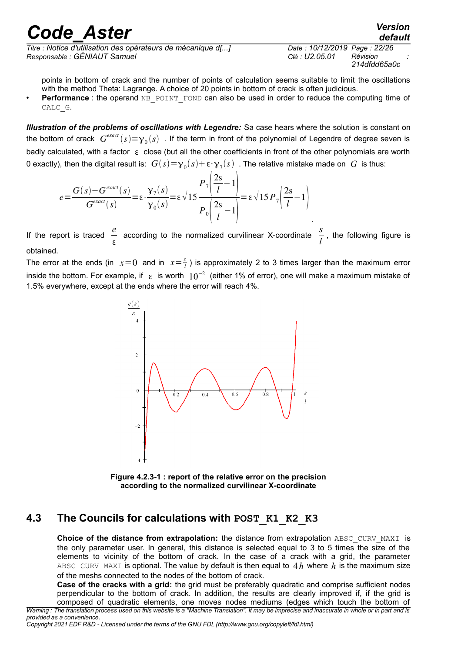*Titre : Notice d'utilisation des opérateurs de mécanique d[...] Date : 10/12/2019 Page : 22/26 Responsable : GÉNIAUT Samuel Clé : U2.05.01 Révision :*

*214dfdd65a0c*

points in bottom of crack and the number of points of calculation seems suitable to limit the oscillations with the method Theta: Lagrange. A choice of 20 points in bottom of crack is often judicious.

**Performance**: the operand NB\_POINT\_FOND can also be used in order to reduce the computing time of CALC\_G.

*Illustration of the problems of oscillations with Legendre:* Sa case hears where the solution is constant on the bottom of crack  $\ G^{exact}(s) {=} \gamma_0(s) \ \ .$  If the term in front of the polynomial of Legendre of degree seven is badly calculated, with a factor  $\epsilon$  close (but all the other coefficients in front of the other polynomials are worth 0 exactly), then the digital result is:  $\,G(s)\!=\!\gamma_0(s)\!+\!\epsilon\!\cdot\!\gamma_\tau(s)\,$  . The relative mistake made on  $\,G\,$  is thus:

 $\sqrt{2}$ 

$$
e = \frac{G(s) - G^{exact}(s)}{G^{exact}(s)} = \epsilon \cdot \frac{\gamma_7(s)}{\gamma_0(s)} = \epsilon \sqrt{15} \frac{P_7\left(\frac{2s}{l} - 1\right)}{P_0\left(\frac{2s}{l} - 1\right)} = \epsilon \sqrt{15} P_7\left(\frac{2s}{l} - 1\right)
$$

If the report is traced *e*  $\frac{e}{\varepsilon}$  according to the normalized curvilinear X-coordinate  $\frac{s}{l}$  $\frac{b}{l}$ , the following figure is obtained.

The error at the ends (in  $x=0$  and in  $x=\frac{s}{l}$ *l* ) is approximately 2 to 3 times larger than the maximum error inside the bottom. For example, if ε is worth  $10^{-2}$  (either 1% of error), one will make a maximum mistake of 1.5% everywhere, except at the ends where the error will reach 4%.



**Figure 4.2.3-1 : report of the relative error on the precision according to the normalized curvilinear X-coordinate**

#### **4.3 The Councils for calculations with POST\_K1\_K2\_K3**

<span id="page-21-0"></span>**Choice of the distance from extrapolation:** the distance from extrapolation ABSC\_CURV\_MAXI is the only parameter user. In general, this distance is selected equal to 3 to 5 times the size of the elements to vicinity of the bottom of crack. In the case of a crack with a grid, the parameter ABSC CURV MAXI is optional. The value by default is then equal to  $4h$  where  $h$  is the maximum size of the meshs connected to the nodes of the bottom of crack.

**Case of the cracks with a grid:** the grid must be preferably quadratic and comprise sufficient nodes perpendicular to the bottom of crack. In addition, the results are clearly improved if, if the grid is composed of quadratic elements, one moves nodes mediums (edges which touch the bottom of *Warning : The translation process used on this website is a "Machine Translation". It may be imprecise and inaccurate in whole or in part and is provided as a convenience.*

*Copyright 2021 EDF R&D - Licensed under the terms of the GNU FDL (http://www.gnu.org/copyleft/fdl.html)*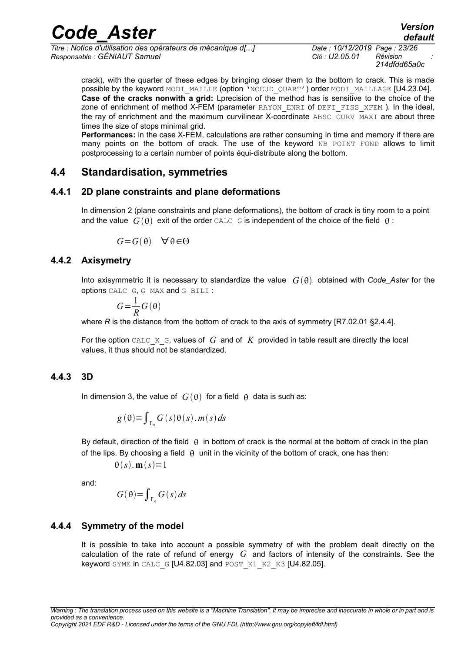*Titre : Notice d'utilisation des opérateurs de mécanique d[...] Date : 10/12/2019 Page : 23/26 Responsable : GÉNIAUT Samuel Clé : U2.05.01 Révision :*

*214dfdd65a0c*

*default*

crack), with the quarter of these edges by bringing closer them to the bottom to crack. This is made possible by the keyword MODI\_MAILLE (option 'NOEUD\_QUART') order MODI\_MAILLAGE [U4.23.04]. **Case of the cracks nonwith a grid:** Lprecision of the method has is sensitive to the choice of the zone of enrichment of method X-FEM (parameter RAYON ENRI of DEFI FISS XFEM). In the ideal, the ray of enrichment and the maximum curvilinear X-coordinate ABSC CURV MAXI are about three times the size of stops minimal grid.

**Performances:** in the case X-FEM, calculations are rather consuming in time and memory if there are many points on the bottom of crack. The use of the keyword NB POINT FOND allows to limit postprocessing to a certain number of points équi-distribute along the bottom.

#### <span id="page-22-4"></span>**4.4 Standardisation, symmetries**

#### **4.4.1 2D plane constraints and plane deformations**

<span id="page-22-3"></span>In dimension 2 (plane constraints and plane deformations), the bottom of crack is tiny room to a point and the value  $G(\theta)$  exit of the order CALC G is independent of the choice of the field  $\theta$ :

$$
G = G(\theta) \quad \forall \theta \in \Theta
$$

#### **4.4.2 Axisymetry**

<span id="page-22-2"></span>Into axisymmetric it is necessary to standardize the value  $G(\theta)$  obtained with *Code Aster* for the options CALC\_G, G\_MAX and G\_BILI :

$$
G\!=\!\frac{1}{R}\,G\left(\theta\right)
$$

where *R* is the distance from the bottom of crack to the axis of symmetry [R7.02.01 §2.4.4].

For the option CALC<sub>K</sub> G, values of *G* and of *K* provided in table result are directly the local values, it thus should not be standardized.

#### **4.4.3 3D**

<span id="page-22-1"></span>In dimension 3, the value of  $G(\theta)$  for a field  $\theta$  data is such as:

$$
g(\theta) = \int_{\Gamma_0} G(s) \theta(s) \cdot m(s) ds
$$

By default, direction of the field  $\theta$  in bottom of crack is the normal at the bottom of crack in the plan of the lips. By choosing a field  $\theta$  unit in the vicinity of the bottom of crack, one has then:

$$
\Theta(s) \cdot \mathbf{m}(s) = 1
$$

and:

$$
G(\theta) = \int_{\Gamma_0} G(s) \, ds
$$

#### **4.4.4 Symmetry of the model**

<span id="page-22-0"></span>It is possible to take into account a possible symmetry of with the problem dealt directly on the calculation of the rate of refund of energy *G* and factors of intensity of the constraints. See the **keyword** SYME in CALC G [U4.82.03] and POST K1 K2 K3 [U4.82.05].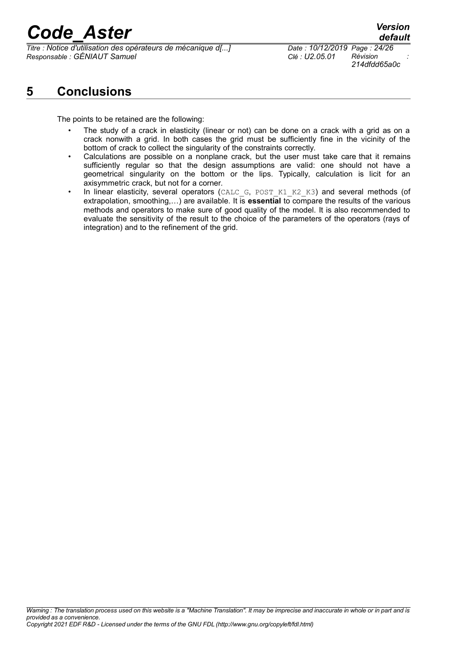*Titre : Notice d'utilisation des opérateurs de mécanique d[...] Date : 10/12/2019 Page : 24/26 Responsable : GÉNIAUT Samuel Clé : U2.05.01 Révision :*

*214dfdd65a0c*

### **5 Conclusions**

<span id="page-23-0"></span>The points to be retained are the following:

- The study of a crack in elasticity (linear or not) can be done on a crack with a grid as on a crack nonwith a grid. In both cases the grid must be sufficiently fine in the vicinity of the bottom of crack to collect the singularity of the constraints correctly.
- Calculations are possible on a nonplane crack, but the user must take care that it remains sufficiently regular so that the design assumptions are valid: one should not have a geometrical singularity on the bottom or the lips. Typically, calculation is licit for an axisymmetric crack, but not for a corner.
- In linear elasticity, several operators (CALC\_G, POST\_K1\_K2\_K3) and several methods (of extrapolation, smoothing,…) are available. It is **essential** to compare the results of the various methods and operators to make sure of good quality of the model. It is also recommended to evaluate the sensitivity of the result to the choice of the parameters of the operators (rays of integration) and to the refinement of the grid.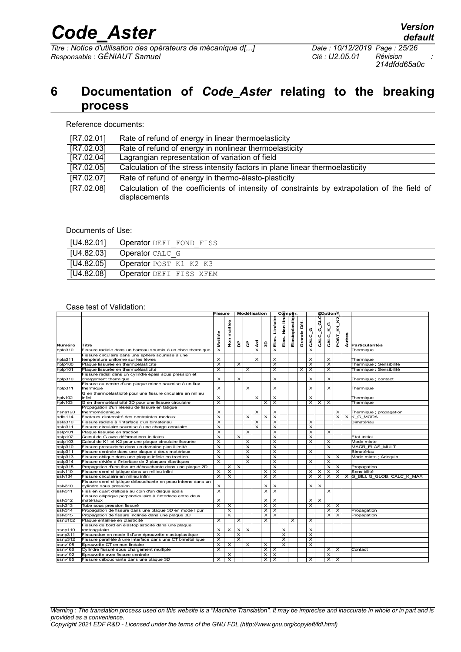*Titre : Notice d'utilisation des opérateurs de mécanique d[...] Date : 10/12/2019 Page : 25/26 Responsable : GÉNIAUT Samuel Clé : U2.05.01 Révision :*

*214dfdd65a0c*

<span id="page-24-0"></span>**6 Documentation of** *Code\_Aster* **relating to the breaking process** 

#### Reference documents:

| [R7.02.01] | Rate of refund of energy in linear thermoelasticity                                                           |
|------------|---------------------------------------------------------------------------------------------------------------|
| [R7.02.03] | Rate of refund of energy in nonlinear thermoelasticity                                                        |
| [R7.02.04] | Lagrangian representation of variation of field                                                               |
| [R7.02.05] | Calculation of the stress intensity factors in plane linear thermoelasticity                                  |
| [R7.02.07] | Rate of refund of energy in thermo-élasto-plasticity                                                          |
| [R7.02.08] | Calculation of the coefficients of intensity of constraints by extrapolation of the field of<br>displacements |

#### Documents of Use:

| TU4.82.011 | <b>Operator</b> DEFI FOND FISS        |
|------------|---------------------------------------|
| [U4.82.03] | <b>Operator</b> CALC G                |
|            | [ $U4.82.05$ ] Operator POST K1 K2 K3 |
| [U4.82.08] | <b>Operator</b> DEFI FISS XFEM        |

#### Case test of Validation:

|              | Gast itsi vi valludilvii.                                                               |                           |                         |                         |                         |                         |                         |                           |                           |               |                         |                             |                         |                         |                         |  |                              |
|--------------|-----------------------------------------------------------------------------------------|---------------------------|-------------------------|-------------------------|-------------------------|-------------------------|-------------------------|---------------------------|---------------------------|---------------|-------------------------|-----------------------------|-------------------------|-------------------------|-------------------------|--|------------------------------|
|              |                                                                                         | <b>Fissure</b>            |                         | Modélisation            |                         |                         |                         | Comp@r.                   |                           |               |                         | <b>MOption</b> <sup>⊻</sup> |                         |                         |                         |  |                              |
| Numéro       | Titre                                                                                   | Maillée                   | maillée<br>နှ           | ₿                       | ဇ                       | Αxi                     | ٩,                      | Linéaire<br>Elas.         | Non lin<br>Elas.          | Elastoplastiq | Grande Déf.             | CALC_G                      | ں<br>5<br>σ<br>CALC     | CALC_K_G                | ส่<br>POST_KI           |  | $\frac{1}{2}$ Particularités |
| hpla310      | Fissure radiale dans un barreau soumis à un choc thermique                              | x                         |                         |                         |                         | $\times$                |                         | $\overline{\mathsf{x}}$   |                           |               |                         | $\times$                    |                         |                         |                         |  | Thermique                    |
| hpla311      | Fissure circulaire dans une sphère soumise à une<br>température uniforme sur les lèvres | $\times$                  |                         |                         |                         | $\times$                |                         | $\times$                  |                           |               |                         | $\times$                    |                         | $\times$                |                         |  | Thermique                    |
| hplp100      | Plaque fissurée en thermoélasticite                                                     | $\overline{\mathsf{x}}$   |                         | $\times$                |                         |                         |                         | $\overline{\mathsf{x}}$   |                           |               |                         | $\times$                    |                         | $\overline{\mathsf{x}}$ |                         |  | Thermique ; Sensibilité      |
| hplp101      | Plaque fissurée en thermoélasticité                                                     | $\overline{\mathsf{x}}$   |                         |                         | $\overline{\mathsf{x}}$ |                         |                         | $\overline{\mathsf{x}}$   |                           |               | $\overline{\mathsf{x}}$ | $\overline{\mathsf{x}}$     |                         | $\overline{\mathsf{x}}$ |                         |  | Thermique ; Sensibilité      |
| hplp310      | Fissure radial dans un cylindre épais sous pression et<br>chargement thermique          | ×                         |                         | X                       |                         |                         |                         | $\times$                  |                           |               |                         | $\boldsymbol{\times}$       |                         | $\times$                |                         |  | Thermique ; contact          |
| hplp311      | Fissure au centre d'une plaque mince soumise à un flux<br>thermique                     | X                         |                         |                         | X                       |                         |                         | $\boldsymbol{\mathsf{x}}$ |                           |               |                         | $\boldsymbol{\times}$       |                         | $\times$                |                         |  | Thermique                    |
| hplv102      | G en thermoélasticité pour une fissure circulaire en milieu<br>infini                   | x                         |                         |                         |                         | $\times$                |                         | $\times$                  |                           |               |                         | $\boldsymbol{\times}$       |                         |                         |                         |  | Thermique                    |
| hplv103      | G en thermoélasticité 3D pour une fissure circulaire                                    | $\times$                  |                         |                         |                         |                         | $\times$                | $\times$                  |                           |               |                         | $\times$                    | $\times$                | $\times$                |                         |  | Thermique                    |
| hsna120      | Propagation d'un réseau de fissure en fatique<br>thermomécanique                        | x                         |                         |                         |                         | $\times$                |                         | $\boldsymbol{\mathsf{x}}$ |                           |               |                         |                             |                         |                         | x                       |  | Thermique ; propagation      |
| sdls114      | Facteurs d'intensité des contraintes modaux                                             | $\overline{\mathsf{x}}$   |                         |                         | $\overline{\mathsf{x}}$ |                         | $\overline{\mathsf{x}}$ | $\overline{\mathsf{x}}$   |                           |               |                         |                             |                         |                         | $\overline{\mathsf{x}}$ |  | X K G MODA                   |
| $s$ sla310   | Fissure radiale à l'interface d'un bimatériau                                           | $\overline{\mathsf{x}}$   |                         |                         |                         | $\overline{\mathsf{x}}$ |                         | $\overline{\mathsf{x}}$   |                           |               |                         | $\overline{\mathsf{x}}$     |                         |                         |                         |  | Bimatériau                   |
| ssla311      | Fissure circulaire soumise à une charge annulaire                                       | $\boldsymbol{\mathsf{x}}$ |                         |                         |                         | $\times$                |                         | $\overline{\mathsf{x}}$   |                           |               |                         | $\boldsymbol{\times}$       |                         |                         |                         |  |                              |
| $s$ s $p101$ | Plaque fissurée en traction                                                             | $\overline{\mathsf{x}}$   |                         |                         | $\overline{\mathsf{x}}$ |                         |                         | $\overline{\mathsf{x}}$   |                           |               |                         | $\overline{\mathsf{x}}$     |                         | $\overline{\mathsf{x}}$ |                         |  |                              |
| ssip102      | Calcul de G avec déformations initiales                                                 | $\overline{\mathsf{x}}$   |                         | $\overline{\mathsf{x}}$ |                         |                         |                         | $\overline{\mathsf{x}}$   |                           |               |                         | $\overline{\mathsf{x}}$     |                         |                         |                         |  | Ftat initial                 |
| ssip103      | Calcul de K1 et K2 pour une plaque circulaire fissurée                                  | $\overline{\mathsf{x}}$   |                         |                         | $\times$                |                         |                         | $\overline{\mathsf{x}}$   |                           |               |                         | $\overline{\mathsf{x}}$     |                         | $\times$                |                         |  | Mode mixte                   |
| sslp310      | Fissure pressurisée dans un domaine plan illimité                                       | $\overline{\mathsf{x}}$   |                         |                         | $\overline{\mathsf{x}}$ |                         |                         | $\overline{\mathsf{x}}$   |                           |               |                         |                             |                         | $\overline{\mathsf{x}}$ |                         |  | MACR ELAS MULT               |
| ssip311      | Fissure centrale dans une plaque à deux matériaux                                       | $\times$                  |                         |                         | $\overline{\mathsf{x}}$ |                         |                         | $\overline{\mathsf{x}}$   |                           |               |                         | $\times$                    |                         |                         |                         |  | Bimatériau                   |
| ssip313      | Fissure oblique dans une plaque infinie en traction                                     | $\overline{\mathsf{x}}$   |                         |                         | $\times$                |                         |                         | $\overline{\mathsf{x}}$   |                           |               |                         |                             |                         | $\times$                | $\times$                |  | Mode mixte ; Arlequin        |
| sslp314      | Fissure déviée à l'interface de 2 plaques élastiques                                    | $\overline{\mathsf{x}}$   |                         |                         | $\overline{\mathsf{x}}$ |                         |                         | $\overline{\mathsf{x}}$   |                           |               |                         | $\overline{\mathsf{x}}$     |                         | $\overline{\mathsf{x}}$ |                         |  |                              |
| sslp315      | Propagation d'une fissure débouchante dans une plaque 2D                                |                           | $\times$                | $\times$                |                         |                         |                         | $\times$                  |                           |               |                         |                             |                         | $\times$                | $\times$                |  | Propagation                  |
| sslv110      | Fissure semi-elliptique dans un milieu infini                                           | $\times$                  | $\overline{\mathsf{x}}$ |                         |                         |                         | X                       | $\overline{\mathsf{x}}$   |                           |               |                         | $\times$                    | $\times$                | $\overline{\mathsf{x}}$ | $\times$                |  | Sensibilité                  |
| sslv134      | Fissure circulaire en milieu infini                                                     | $\times$                  | $\overline{\mathsf{x}}$ |                         |                         |                         | $\overline{\mathsf{x}}$ | $\overline{\mathsf{x}}$   |                           |               |                         | $\times$                    | $\overline{\mathsf{x}}$ | $\overline{\mathsf{x}}$ | $\times$                |  | X G BILI, G GLOB, CALC K MAX |
| sslv310      | Fissure semi-elliptique débouchante en peau interne dans un<br>cylindre sous pression   | $\times$                  |                         |                         |                         |                         | $\times$                | $\times$                  |                           |               |                         | $\times$                    | $\times$                |                         |                         |  |                              |
| sslv311      | Fiss en quart d'ellipse au coin d'un disque épais                                       | $\overline{\mathsf{x}}$   |                         |                         |                         |                         | $\overline{\mathsf{x}}$ | $\overline{\mathsf{x}}$   |                           |               |                         |                             |                         | $\times$                |                         |  |                              |
| sslv312      | Fissure elliptique perpendiculaire à l'interface entre deux<br>matériaux                | $\times$                  |                         |                         |                         |                         | $\times$                | $\times$                  |                           |               |                         | $\times$                    | $\times$                |                         |                         |  |                              |
| sslv313      | Tube sous pression fissuré                                                              | $\overline{\mathsf{x}}$   | $\overline{\mathsf{x}}$ |                         |                         |                         | $\overline{\mathsf{x}}$ | $\overline{\mathsf{x}}$   |                           |               |                         | $\overline{\mathsf{x}}$     |                         | $\overline{\mathsf{x}}$ | $\overline{\mathsf{x}}$ |  |                              |
| sslv314      | Propagation de fissure dans une plaque 3D en mode I pur                                 |                           | $\overline{\mathsf{x}}$ |                         |                         |                         | $\overline{\mathsf{x}}$ | $\overline{\mathsf{x}}$   |                           |               |                         |                             |                         | $\overline{\mathsf{x}}$ | $\overline{\mathsf{x}}$ |  | Propagation                  |
| sslv315      | Propagation de fissure inclinée dans une plaque 3D                                      |                           | $\overline{\mathsf{x}}$ |                         |                         |                         | $\overline{\mathsf{x}}$ | $\overline{\mathsf{x}}$   |                           |               |                         |                             |                         | $\overline{\mathsf{x}}$ | $\overline{\mathsf{x}}$ |  | Propagation                  |
| ssnp102      | Plaque entaillée en plasticité                                                          | x                         |                         | x                       |                         |                         | $\overline{\mathsf{x}}$ |                           |                           | $\times$      |                         | $\times$                    |                         |                         |                         |  |                              |
| ssnp110      | Fissure de bord en élastoplasticité dans une plaque<br>rectangulaire                    | x                         | X                       | x                       | $\times$                |                         |                         |                           | ×                         |               |                         | $\times$                    |                         |                         |                         |  |                              |
| ssnp311      | Fissuration en mode II d'une éprouvette elastoplastique                                 | $\boldsymbol{\mathsf{x}}$ |                         | $\boldsymbol{\times}$   |                         |                         |                         |                           | $\boldsymbol{\mathsf{x}}$ |               |                         | $\overline{\mathsf{x}}$     |                         |                         |                         |  |                              |
| ssnp312      | Fissure parallèle à une interface dans une CT bimétallique                              | $\overline{\mathsf{x}}$   |                         | $\overline{\mathsf{x}}$ |                         |                         |                         |                           | $\overline{\mathsf{x}}$   |               |                         | $\overline{\mathsf{x}}$     |                         |                         |                         |  |                              |
| ssnv108      | Eprouvette CT en non linéaire                                                           | $\overline{\mathsf{x}}$   | $\overline{\mathsf{x}}$ |                         | $\overline{\mathsf{x}}$ |                         | $\times$                |                           | $\overline{\mathsf{x}}$   |               |                         | $\overline{\mathsf{x}}$     |                         |                         |                         |  |                              |
| ssnv166      | Cylindre fissuré sous chargement multiple                                               | $\overline{\mathsf{x}}$   |                         |                         |                         |                         | $\times$                | $\times$                  |                           |               |                         |                             |                         | $\times$                | $\times$                |  | Contact                      |
| ssnv192      | Eprouvette avec fissure centrale                                                        |                           | $\times$                |                         |                         |                         | $\overline{\mathsf{x}}$ | $\overline{\mathsf{x}}$   |                           |               |                         |                             |                         | $\overline{\mathsf{x}}$ |                         |  |                              |
| ssnv185      | Fissure débouchante dans une plaque 3D                                                  | $\boldsymbol{\mathsf{x}}$ | $\overline{\mathsf{x}}$ |                         |                         |                         | $\times$                | $\overline{\mathsf{x}}$   |                           |               |                         | $\times$                    |                         | $\times$                | $\times$                |  |                              |